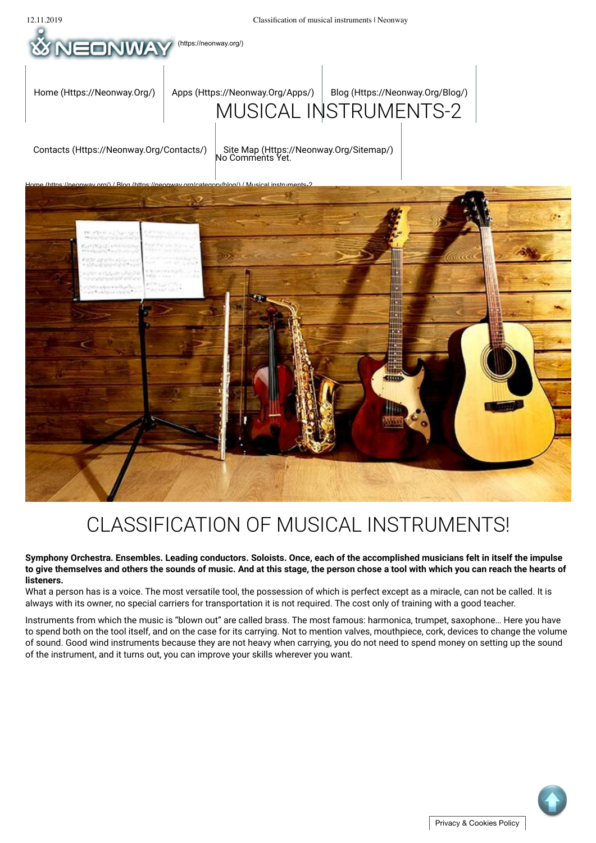

# CLASSIFICATION OF MUSICAL INSTRUMENTS!

**Symphony Orchestra. Ensembles. Leading conductors. Soloists. Once, each of the accomplished musicians felt in itself the impulse to give themselves and others the sounds of music. And at this stage, the person chose a tool with which you can reach the hearts of listeners.**

What a person has is a voice. The most versatile tool, the possession of which is perfect except as a miracle, can not be called. It is always with its owner, no special carriers for transportation it is not required. The cost only of training with a good teacher.

Instruments from which the music is "blown out" are called brass. The most famous: harmonica, trumpet, saxophone… Here you have to spend both on the tool itself, and on the case for its carrying. Not to mention valves, mouthpiece, cork, devices to change the volume of sound. Good wind instruments because they are not heavy when carrying, you do not need to spend money on setting up the sound of the instrument, and it turns out, you can improve your skills wherever you want.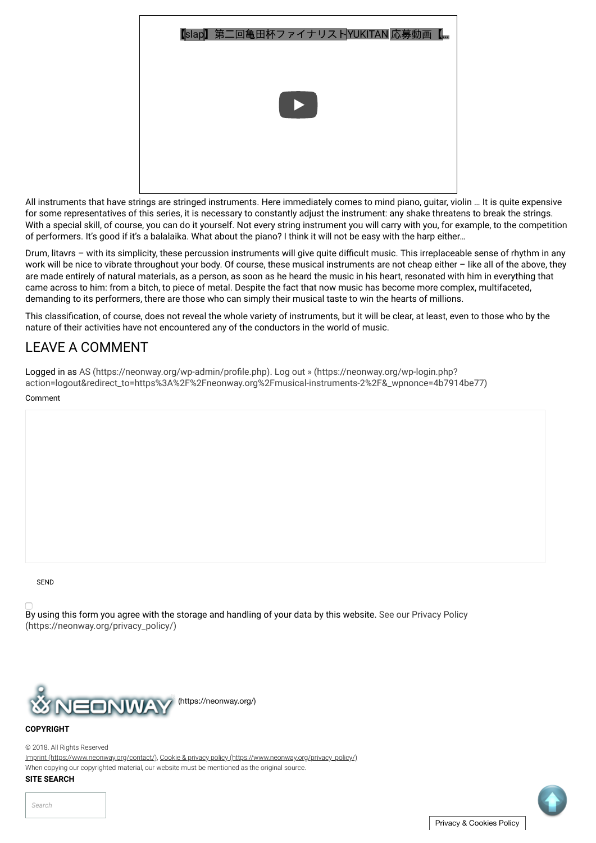| 【slap】第二回亀田杯ファイナリストYUKITAN 応募動画【… |
|-----------------------------------|
| $\blacktriangleright$             |
|                                   |

All instruments that have strings are stringed instruments. Here immediately comes to mind piano, guitar, violin … It is quite expensive for some representatives of this series, it is necessary to constantly adjust the instrument: any shake threatens to break the strings. With a special skill, of course, you can do it yourself. Not every string instrument you will carry with you, for example, to the competition of performers. It's good if it's a balalaika. What about the piano? I think it will not be easy with the harp either…

Drum, litavrs - with its simplicity, these percussion instruments will give quite difficult music. This irreplaceable sense of rhythm in any work will be nice to vibrate throughout your body. Of course, these musical instruments are not cheap either – like all of the above, they are made entirely of natural materials, as a person, as soon as he heard the music in his heart, resonated with him in everything that came across to him: from a bitch, to piece of metal. Despite the fact that now music has become more complex, multifaceted, demanding to its performers, there are those who can simply their musical taste to win the hearts of millions.

This classification, of course, does not reveal the whole variety of instruments, but it will be clear, at least, even to those who by the nature of their activities have not encountered any of the conductors in the world of music.

## LEAVE A COMMENT

Logged in as AS (https://neonway.org/wp-admin/profile.php). Log out » (https://neonway.org/wp-login.php? action=logout&redirect\_to=https%3A%2F%2Fneonway.org%2Fmusical-instruments-2%2F&\_wpnonce=4b7914be77)

Comment

SEND

By using this form you agree with the storage and handling of your data by this website. See our Privacy Policy (https://neonway.org/privacy\_policy/)



#### **COPYRIGHT**

© 2018. All Rights Reserved

Imprint (https://www.neonway.org/contact/), Cookie & privacy policy (https://www.neonway.org/privacy\_policy/) When copying our copyrighted material, our website must be mentioned as the original source.

### **SITE SEARCH**